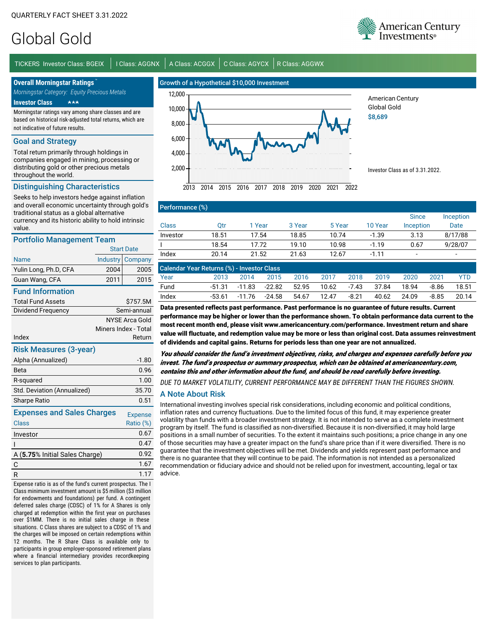# Global Gold

TICKERS Investor Class: BGEIX | I Class: AGGNX | A Class: ACGGX | C Class: AGYCX | R Class: AGGWX

**Overall Morningstar Ratings** *Morningstar Category: Equity Precious Metals*

**Investor Class** -

Morningstar ratings vary among share classes and are based on historical risk-adjusted total returns, which are not indicative of future results.

#### Goal and Strategy

Total return primarily through holdings in companies engaged in mining, processing or distributing gold or other precious metals throughout the world.

### Distinguishing Characteristics

Seeks to help investors hedge against inflation and overall economic uncertainty through gold's traditional status as a global alternative currency and its historic ability to hold intrinsic value.

#### Portfolio Management Team

| Portfolio Management Team         |                   |                       |  |  |  |  |  |
|-----------------------------------|-------------------|-----------------------|--|--|--|--|--|
|                                   | <b>Start Date</b> |                       |  |  |  |  |  |
| <b>Name</b>                       | Industry          | Company               |  |  |  |  |  |
| Yulin Long, Ph.D, CFA             | 2004              | 2005                  |  |  |  |  |  |
| Guan Wang, CFA                    | 2011              | 2015                  |  |  |  |  |  |
| <b>Fund Information</b>           |                   |                       |  |  |  |  |  |
| <b>Total Fund Assets</b>          |                   | \$757.5M              |  |  |  |  |  |
| Dividend Frequency                | Semi-annual       |                       |  |  |  |  |  |
|                                   |                   | <b>NYSE Arca Gold</b> |  |  |  |  |  |
|                                   |                   | Miners Index - Total  |  |  |  |  |  |
| Index                             |                   | Return                |  |  |  |  |  |
| <b>Risk Measures (3-year)</b>     |                   |                       |  |  |  |  |  |
| Alpha (Annualized)                |                   | $-1.80$               |  |  |  |  |  |
| Beta                              |                   | 0.96                  |  |  |  |  |  |
| R-squared                         |                   | 1.00                  |  |  |  |  |  |
| Std. Deviation (Annualized)       |                   | 35.70                 |  |  |  |  |  |
| <b>Sharpe Ratio</b>               |                   | 0.51                  |  |  |  |  |  |
| <b>Expenses and Sales Charges</b> |                   | <b>Expense</b>        |  |  |  |  |  |
| Class                             |                   | Ratio (%)             |  |  |  |  |  |
| Investor                          |                   | 0.67                  |  |  |  |  |  |
| ı                                 |                   | 0.47                  |  |  |  |  |  |
| A (5.75% Initial Sales Charge)    |                   | 0.92                  |  |  |  |  |  |
| C                                 |                   | 1.67                  |  |  |  |  |  |
| R                                 |                   | 1.17                  |  |  |  |  |  |
|                                   |                   |                       |  |  |  |  |  |

Expense ratio is as of the fund's current prospectus. The I Class minimum investment amount is \$5 million (\$3 million for endowments and foundations) per fund. A contingent deferred sales charge (CDSC) of 1% for A Shares is only charged at redemption within the first year on purchases over \$1MM. There is no initial sales charge in these situations. C Class shares are subject to a CDSC of 1% and the charges will be imposed on certain redemptions within 12 months. The R Share Class is available only to participants in group employer-sponsored retirement plans where a financial intermediary provides recordkeeping services to plan participants.



American Century Global Gold \$8,689

Investor Class as of 3.31.2022.

# Performance (%)

|          |       |        |        |        |         | <b>Since</b> | Inception |
|----------|-------|--------|--------|--------|---------|--------------|-----------|
| Class    | Эtr   | 1 Year | 3 Year | 5 Year | 10 Year | Inception    | Date      |
| Investor | 18.51 | 17.54  | 18.85  | 10.74  | $-1.39$ | 3.13         | 8/17/88   |
|          | 18.54 | 17.72  | 19.10  | 10.98  | $-1.19$ | 0.67         | 9/28/07   |
| Index    | 20.14 | 21.52  | 21.63  | 12.67  | $-1.11$ | -            | -         |

| Calendar Year Returns (%) - Investor Class |        |        |        |       |             |       |       |       |       |       |
|--------------------------------------------|--------|--------|--------|-------|-------------|-------|-------|-------|-------|-------|
| Year                                       | 2013   | 2014   | 2015   | 2016  | 2017        | 2018  | 2019  | 2020  | 2021  | YTD   |
| Fund                                       | -51.31 | -11.83 | -22.82 |       | 52.95 10.62 | -7.43 | 37.84 | 18.94 | -8.86 | 18.51 |
| Index                                      | -53.61 | -11.76 | -24.58 | 54.67 | 12.47       | -8.21 | 40.62 | 24.09 | -8.85 | 20.14 |
|                                            |        |        |        |       |             |       |       |       |       |       |

Data presented reflects past performance. Past performance is no guarantee of future results. Current performance may be higher or lower than the performance shown. To obtain performance data current to the most recent month end, please visit www.americancentury.com/performance. Investment return and share value will fluctuate, and redemption value may be more or less than original cost. Data assumes reinvestment of dividends and capital gains. Returns for periods less than one year are not annualized.

You should consider the fund's investment objectives, risks, and charges and expenses carefully before you invest. The fund's prospectus or summary prospectus, which can be obtained at americancentury.com, contains this and other information about the fund, and should be read carefully before investing.

*DUE TO MARKET VOLATILITY, CURRENT PERFORMANCE MAY BE DIFFERENT THAN THE FIGURES SHOWN.*

## A Note About Risk

International investing involves special risk considerations, including economic and political conditions, inflation rates and currency fluctuations. Due to the limited focus of this fund, it may experience greater volatility than funds with a broader investment strategy. It is not intended to serve as a complete investment program by itself. The fund is classified as non-diversified. Because it is non-diversified, it may hold large positions in a small number of securities. To the extent it maintains such positions; a price change in any one of those securities may have a greater impact on the fund's share price than if it were diversified. There is no guarantee that the investment objectives will be met. Dividends and yields represent past performance and there is no guarantee that they will continue to be paid. The information is not intended as a personalized recommendation or fiduciary advice and should not be relied upon for investment, accounting, legal or tax advice.